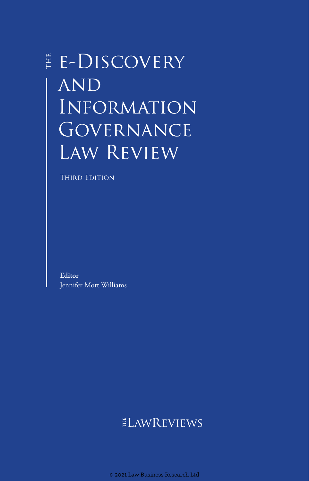# E-DISCOVERY **AND** Information GOVERNANCE Law Review

THIRD EDITION

**Editor** Jennifer Mott Williams

## ELAWREVIEWS

© 2021 Law Business Research Ltd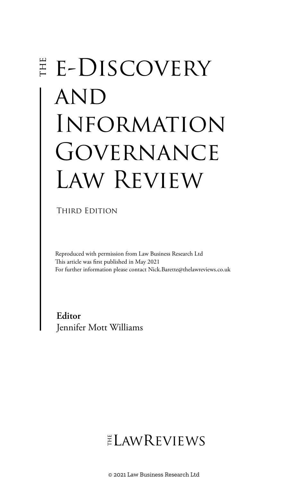# **E-DISCOVERY AND** Information GOVERNANCE Law Review

THIRD EDITION

Reproduced with permission from Law Business Research Ltd This article was first published in May 2021 For further information please contact Nick.Barette@thelawreviews.co.uk

**Editor** Jennifer Mott Williams

# $ELMR$  EVIEWS

© 2021 Law Business Research Ltd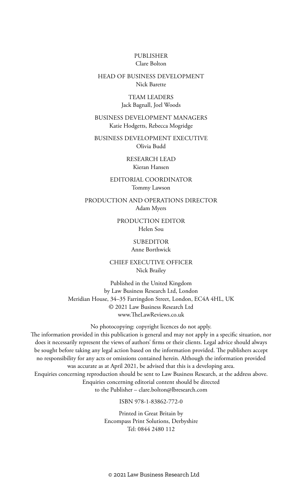#### PUBLISHER Clare Bolton

#### HEAD OF BUSINESS DEVELOPMENT Nick Barette

#### TEAM LEADERS Jack Bagnall, Joel Woods

#### BUSINESS DEVELOPMENT MANAGERS Katie Hodgetts, Rebecca Mogridge

BUSINESS DEVELOPMENT EXECUTIVE Olivia Budd

> RESEARCH LEAD Kieran Hansen

#### EDITORIAL COORDINATOR Tommy Lawson

PRODUCTION AND OPERATIONS DIRECTOR Adam Myers

> PRODUCTION EDITOR Helen Sou

#### **SUBEDITOR** Anne Borthwick

#### CHIEF EXECUTIVE OFFICER Nick Brailey

Published in the United Kingdom by Law Business Research Ltd, London Meridian House, 34–35 Farringdon Street, London, EC4A 4HL, UK © 2021 Law Business Research Ltd www.TheLawReviews.co.uk

No photocopying: copyright licences do not apply. The information provided in this publication is general and may not apply in a specific situation, nor does it necessarily represent the views of authors' firms or their clients. Legal advice should always be sought before taking any legal action based on the information provided. The publishers accept no responsibility for any acts or omissions contained herein. Although the information provided was accurate as at April 2021, be advised that this is a developing area. Enquiries concerning reproduction should be sent to Law Business Research, at the address above. Enquiries concerning editorial content should be directed to the Publisher – clare.bolton@lbresearch.com

#### ISBN 978-1-83862-772-0

Printed in Great Britain by Encompass Print Solutions, Derbyshire Tel: 0844 2480 112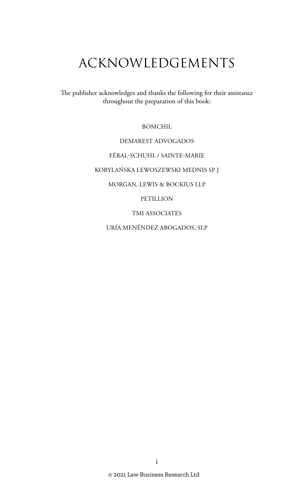# ACKNOWLEDGEMENTS

The publisher acknowledges and thanks the following for their assistance throughout the preparation of this book:

BOMCHIL

DEMAREST ADVOGADOS

FÉRAL-SCHUHL / SAINTE-MARIE

KOBYLAŃSKA LEWOSZEWSKI MEDNIS SP J

MORGAN, LEWIS & BOCKIUS LLP

PETILLION

TMI ASSOCIATES

URÍA MENÉNDEZ ABOGADOS, SLP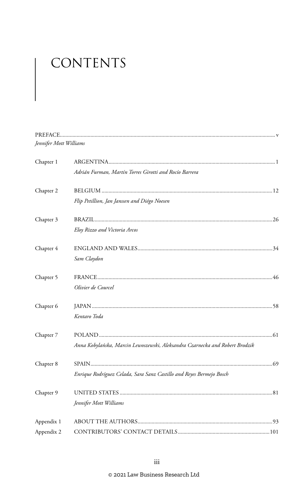# CONTENTS

| Jennifer Mott Williams |                                                                              |
|------------------------|------------------------------------------------------------------------------|
| Chapter 1              |                                                                              |
|                        | Adrián Furman, Martín Torres Girotti and Rocío Barrera                       |
| Chapter 2              |                                                                              |
|                        | Flip Petillion, Jan Janssen and Diégo Noesen                                 |
| Chapter 3              |                                                                              |
|                        | Eloy Rizzo and Victoria Arcos                                                |
| Chapter 4              |                                                                              |
|                        | Sam Claydon                                                                  |
| Chapter 5              |                                                                              |
|                        | Olivier de Courcel                                                           |
| Chapter 6              |                                                                              |
|                        | Kentaro Toda                                                                 |
| Chapter 7              |                                                                              |
|                        | Anna Kobylańska, Marcin Lewoszewski, Aleksandra Czarnecka and Robert Brodzik |
| Chapter 8              |                                                                              |
|                        | Enrique Rodríguez Celada, Sara Sanz Castillo and Reyes Bermejo Bosch         |
| Chapter 9              |                                                                              |
|                        | Jennifer Mott Williams                                                       |
| Appendix 1             |                                                                              |
| Appendix 2             |                                                                              |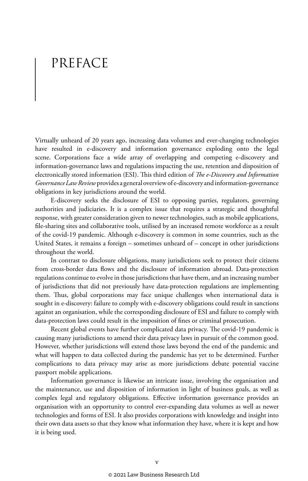# PREFACE

Virtually unheard of 20 years ago, increasing data volumes and ever-changing technologies have resulted in e-discovery and information governance exploding onto the legal scene. Corporations face a wide array of overlapping and competing e-discovery and information-governance laws and regulations impacting the use, retention and disposition of electronically stored information (ESI). This third edition of *The e-Discovery and Information Governance Law Review* provides a general overview of e-discovery and information-governance obligations in key jurisdictions around the world.

E-discovery seeks the disclosure of ESI to opposing parties, regulators, governing authorities and judiciaries. It is a complex issue that requires a strategic and thoughtful response, with greater consideration given to newer technologies, such as mobile applications, file-sharing sites and collaborative tools, utilised by an increased remote workforce as a result of the covid-19 pandemic. Although e-discovery is common in some countries, such as the United States, it remains a foreign – sometimes unheard of – concept in other jurisdictions throughout the world.

In contrast to disclosure obligations, many jurisdictions seek to protect their citizens from cross-border data flows and the disclosure of information abroad. Data-protection regulations continue to evolve in those jurisdictions that have them, and an increasing number of jurisdictions that did not previously have data-protection regulations are implementing them. Thus, global corporations may face unique challenges when international data is sought in e-discovery: failure to comply with e-discovery obligations could result in sanctions against an organisation, while the corresponding disclosure of ESI and failure to comply with data-protection laws could result in the imposition of fines or criminal prosecution.

Recent global events have further complicated data privacy. The covid-19 pandemic is causing many jurisdictions to amend their data privacy laws in pursuit of the common good. However, whether jurisdictions will extend those laws beyond the end of the pandemic and what will happen to data collected during the pandemic has yet to be determined. Further complications to data privacy may arise as more jurisdictions debate potential vaccine passport mobile applications.

Information governance is likewise an intricate issue, involving the organisation and the maintenance, use and disposition of information in light of business goals, as well as complex legal and regulatory obligations. Effective information governance provides an organisation with an opportunity to control ever-expanding data volumes as well as newer technologies and forms of ESI. It also provides corporations with knowledge and insight into their own data assets so that they know what information they have, where it is kept and how it is being used.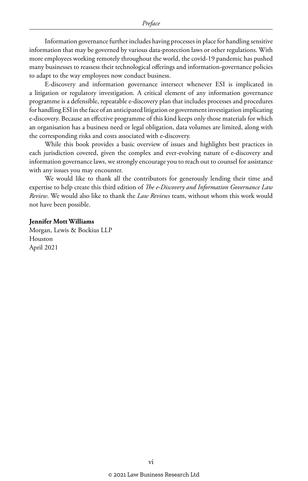Information governance further includes having processes in place for handling sensitive information that may be governed by various data-protection laws or other regulations. With more employees working remotely throughout the world, the covid-19 pandemic has pushed many businesses to reassess their technological offerings and information-governance policies to adapt to the way employees now conduct business.

E-discovery and information governance intersect whenever ESI is implicated in a litigation or regulatory investigation. A critical element of any information governance programme is a defensible, repeatable e-discovery plan that includes processes and procedures for handling ESI in the face of an anticipated litigation or government investigation implicating e-discovery. Because an effective programme of this kind keeps only those materials for which an organisation has a business need or legal obligation, data volumes are limited, along with the corresponding risks and costs associated with e-discovery.

While this book provides a basic overview of issues and highlights best practices in each jurisdiction covered, given the complex and ever-evolving nature of e-discovery and information governance laws, we strongly encourage you to reach out to counsel for assistance with any issues you may encounter.

We would like to thank all the contributors for generously lending their time and expertise to help create this third edition of *The e-Discovery and Information Governance Law Review*. We would also like to thank the *Law Reviews* team, without whom this work would not have been possible.

#### **Jennifer Mott Williams**

Morgan, Lewis & Bockius LLP Houston April 2021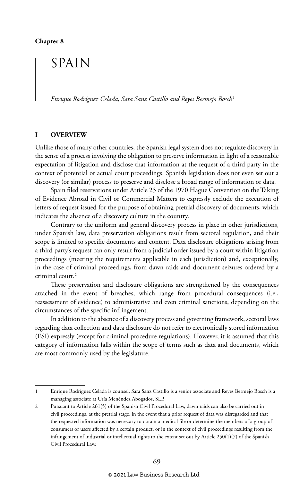## SPAIN

*Enrique Rodríguez Celada, Sara Sanz Castillo and Reyes Bermejo Bosch*<sup>1</sup>

#### **I OVERVIEW**

Unlike those of many other countries, the Spanish legal system does not regulate discovery in the sense of a process involving the obligation to preserve information in light of a reasonable expectation of litigation and disclose that information at the request of a third party in the context of potential or actual court proceedings. Spanish legislation does not even set out a discovery (or similar) process to preserve and disclose a broad range of information or data.

Spain filed reservations under Article 23 of the 1970 Hague Convention on the Taking of Evidence Abroad in Civil or Commercial Matters to expressly exclude the execution of letters of request issued for the purpose of obtaining pretrial discovery of documents, which indicates the absence of a discovery culture in the country.

Contrary to the uniform and general discovery process in place in other jurisdictions, under Spanish law, data preservation obligations result from sectoral regulation, and their scope is limited to specific documents and content. Data disclosure obligations arising from a third party's request can only result from a judicial order issued by a court within litigation proceedings (meeting the requirements applicable in each jurisdiction) and, exceptionally, in the case of criminal proceedings, from dawn raids and document seizures ordered by a criminal court.2

These preservation and disclosure obligations are strengthened by the consequences attached in the event of breaches, which range from procedural consequences (i.e., reassessment of evidence) to administrative and even criminal sanctions, depending on the circumstances of the specific infringement.

In addition to the absence of a discovery process and governing framework, sectoral laws regarding data collection and data disclosure do not refer to electronically stored information (ESI) expressly (except for criminal procedure regulations). However, it is assumed that this category of information falls within the scope of terms such as data and documents, which are most commonly used by the legislature.

<sup>1</sup> Enrique Rodríguez Celada is counsel, Sara Sanz Castillo is a senior associate and Reyes Bermejo Bosch is a managing associate at Uría Menéndez Abogados, SLP.

<sup>2</sup> Pursuant to Article 261(5) of the Spanish Civil Procedural Law, dawn raids can also be carried out in civil proceedings, at the pretrial stage, in the event that a prior request of data was disregarded and that the requested information was necessary to obtain a medical file or determine the members of a group of consumers or users affected by a certain product, or in the context of civil proceedings resulting from the infringement of industrial or intellectual rights to the extent set out by Article 250(1)(7) of the Spanish Civil Procedural Law.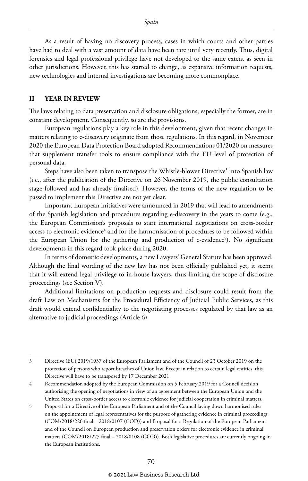As a result of having no discovery process, cases in which courts and other parties have had to deal with a vast amount of data have been rare until very recently. Thus, digital forensics and legal professional privilege have not developed to the same extent as seen in other jurisdictions. However, this has started to change, as expansive information requests, new technologies and internal investigations are becoming more commonplace.

#### **II YEAR IN REVIEW**

The laws relating to data preservation and disclosure obligations, especially the former, are in constant development. Consequently, so are the provisions.

European regulations play a key role in this development, given that recent changes in matters relating to e-discovery originate from those regulations. In this regard, in November 2020 the European Data Protection Board adopted Recommendations 01/2020 on measures that supplement transfer tools to ensure compliance with the EU level of protection of personal data.

Steps have also been taken to transpose the Whistle-blower Directive<sup>3</sup> into Spanish law (i.e., after the publication of the Directive on 26 November 2019, the public consultation stage followed and has already finalised). However, the terms of the new regulation to be passed to implement this Directive are not yet clear.

Important European initiatives were announced in 2019 that will lead to amendments of the Spanish legislation and procedures regarding e-discovery in the years to come (e.g., the European Commission's proposals to start international negotiations on cross-border access to electronic evidence<sup>4</sup> and for the harmonisation of procedures to be followed within the European Union for the gathering and production of e-evidence<sup>5</sup>). No significant developments in this regard took place during 2020.

In terms of domestic developments, a new Lawyers' General Statute has been approved. Although the final wording of the new law has not been officially published yet, it seems that it will extend legal privilege to in-house lawyers, thus limiting the scope of disclosure proceedings (see Section V).

Additional limitations on production requests and disclosure could result from the draft Law on Mechanisms for the Procedural Efficiency of Judicial Public Services, as this draft would extend confidentiality to the negotiating processes regulated by that law as an alternative to judicial proceedings (Article 6).

<sup>3</sup> Directive (EU) 2019/1937 of the European Parliament and of the Council of 23 October 2019 on the protection of persons who report breaches of Union law. Except in relation to certain legal entities, this Directive will have to be transposed by 17 December 2021.

<sup>4</sup> Recommendation adopted by the European Commission on 5 February 2019 for a Council decision authorising the opening of negotiations in view of an agreement between the European Union and the United States on cross-border access to electronic evidence for judicial cooperation in criminal matters.

<sup>5</sup> Proposal for a Directive of the European Parliament and of the Council laying down harmonised rules on the appointment of legal representatives for the purpose of gathering evidence in criminal proceedings (COM/2018/226 final – 2018/0107 (COD)) and Proposal for a Regulation of the European Parliament and of the Council on European production and preservation orders for electronic evidence in criminal matters (COM/2018/225 final – 2018/0108 (COD)). Both legislative procedures are currently ongoing in the European institutions.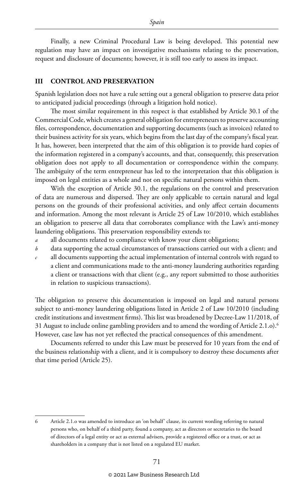Finally, a new Criminal Procedural Law is being developed. This potential new regulation may have an impact on investigative mechanisms relating to the preservation, request and disclosure of documents; however, it is still too early to assess its impact.

#### **III CONTROL AND PRESERVATION**

Spanish legislation does not have a rule setting out a general obligation to preserve data prior to anticipated judicial proceedings (through a litigation hold notice).

The most similar requirement in this respect is that established by Article 30.1 of the Commercial Code, which creates a general obligation for entrepreneurs to preserve accounting files, correspondence, documentation and supporting documents (such as invoices) related to their business activity for six years, which begins from the last day of the company's fiscal year. It has, however, been interpreted that the aim of this obligation is to provide hard copies of the information registered in a company's accounts, and that, consequently, this preservation obligation does not apply to all documentation or correspondence within the company. The ambiguity of the term entrepreneur has led to the interpretation that this obligation is imposed on legal entities as a whole and not on specific natural persons within them.

With the exception of Article 30.1, the regulations on the control and preservation of data are numerous and dispersed. They are only applicable to certain natural and legal persons on the grounds of their professional activities, and only affect certain documents and information. Among the most relevant is Article 25 of Law 10/2010, which establishes an obligation to preserve all data that corroborates compliance with the Law's anti-money laundering obligations. This preservation responsibility extends to:

- all documents related to compliance with know your client obligations;
- *b* data supporting the actual circumstances of transactions carried out with a client; and
- *c* all documents supporting the actual implementation of internal controls with regard to a client and communications made to the anti-money laundering authorities regarding a client or transactions with that client (e.g., any report submitted to those authorities in relation to suspicious transactions).

The obligation to preserve this documentation is imposed on legal and natural persons subject to anti-money laundering obligations listed in Article 2 of Law 10/2010 (including credit institutions and investment firms). This list was broadened by Decree-Law 11/2018, of 31 August to include online gambling providers and to amend the wording of Article 2.1.o).6 However, case law has not yet reflected the practical consequences of this amendment.

Documents referred to under this Law must be preserved for 10 years from the end of the business relationship with a client, and it is compulsory to destroy these documents after that time period (Article 25).

<sup>6</sup> Article 2.1.o was amended to introduce an 'on behalf' clause, its current wording referring to natural persons who, on behalf of a third party, found a company, act as directors or secretaries to the board of directors of a legal entity or act as external advisers, provide a registered office or a trust, or act as shareholders in a company that is not listed on a regulated EU market.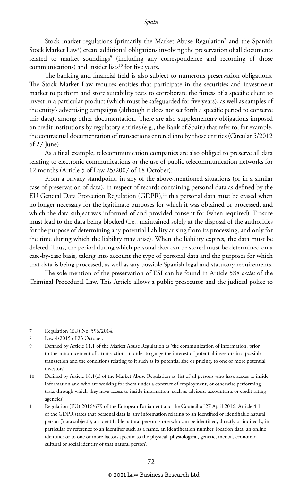Stock market regulations (primarily the Market Abuse Regulation7 and the Spanish Stock Market Law<sup>8</sup>) create additional obligations involving the preservation of all documents related to market soundings<sup>9</sup> (including any correspondence and recording of those communications) and insider lists<sup>10</sup> for five years.

The banking and financial field is also subject to numerous preservation obligations. The Stock Market Law requires entities that participate in the securities and investment market to perform and store suitability tests to corroborate the fitness of a specific client to invest in a particular product (which must be safeguarded for five years), as well as samples of the entity's advertising campaigns (although it does not set forth a specific period to conserve this data), among other documentation. There are also supplementary obligations imposed on credit institutions by regulatory entities (e.g., the Bank of Spain) that refer to, for example, the contractual documentation of transactions entered into by those entities (Circular 5/2012 of 27 June).

As a final example, telecommunication companies are also obliged to preserve all data relating to electronic communications or the use of public telecommunication networks for 12 months (Article 5 of Law 25/2007 of 18 October).

From a privacy standpoint, in any of the above-mentioned situations (or in a similar case of preservation of data), in respect of records containing personal data as defined by the EU General Data Protection Regulation (GDPR),<sup>11</sup> this personal data must be erased when no longer necessary for the legitimate purposes for which it was obtained or processed, and which the data subject was informed of and provided consent for (when required). Erasure must lead to the data being blocked (i.e., maintained solely at the disposal of the authorities for the purpose of determining any potential liability arising from its processing, and only for the time during which the liability may arise). When the liability expires, the data must be deleted. Thus, the period during which personal data can be stored must be determined on a case-by-case basis, taking into account the type of personal data and the purposes for which that data is being processed, as well as any possible Spanish legal and statutory requirements.

The sole mention of the preservation of ESI can be found in Article 588 *octies* of the Criminal Procedural Law. This Article allows a public prosecutor and the judicial police to

<sup>7</sup> Regulation (EU) No. 596/2014.

<sup>8</sup> Law 4/2015 of 23 October.

<sup>9</sup> Defined by Article 11.1 of the Market Abuse Regulation as 'the communication of information, prior to the announcement of a transaction, in order to gauge the interest of potential investors in a possible transaction and the conditions relating to it such as its potential size or pricing, to one or more potential investors'.

<sup>10</sup> Defined by Article 18.1(a) of the Market Abuse Regulation as 'list of all persons who have access to inside information and who are working for them under a contract of employment, or otherwise performing tasks through which they have access to inside information, such as advisers, accountants or credit rating agencies'.

<sup>11</sup> Regulation (EU) 2016/679 of the European Parliament and the Council of 27 April 2016. Article 4.1 of the GDPR states that personal data is 'any information relating to an identified or identifiable natural person ('data subject'); an identifiable natural person is one who can be identified, directly or indirectly, in particular by reference to an identifier such as a name, an identification number, location data, an online identifier or to one or more factors specific to the physical, physiological, genetic, mental, economic, cultural or social identity of that natural person'.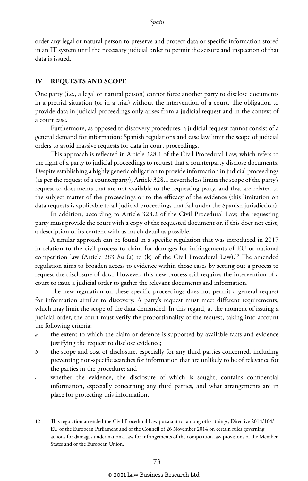order any legal or natural person to preserve and protect data or specific information stored in an IT system until the necessary judicial order to permit the seizure and inspection of that data is issued.

#### **IV REQUESTS AND SCOPE**

One party (i.e., a legal or natural person) cannot force another party to disclose documents in a pretrial situation (or in a trial) without the intervention of a court. The obligation to provide data in judicial proceedings only arises from a judicial request and in the context of a court case.

Furthermore, as opposed to discovery procedures, a judicial request cannot consist of a general demand for information: Spanish regulations and case law limit the scope of judicial orders to avoid massive requests for data in court proceedings.

This approach is reflected in Article 328.1 of the Civil Procedural Law, which refers to the right of a party to judicial proceedings to request that a counterparty disclose documents. Despite establishing a highly generic obligation to provide information in judicial proceedings (as per the request of a counterparty), Article 328.1 nevertheless limits the scope of the party's request to documents that are not available to the requesting party, and that are related to the subject matter of the proceedings or to the efficacy of the evidence (this limitation on data requests is applicable to all judicial proceedings that fall under the Spanish jurisdiction).

In addition, according to Article 328.2 of the Civil Procedural Law, the requesting party must provide the court with a copy of the requested document or, if this does not exist, a description of its content with as much detail as possible.

A similar approach can be found in a specific regulation that was introduced in 2017 in relation to the civil process to claim for damages for infringements of EU or national competition law (Article 283 *bis* (a) to (k) of the Civil Procedural Law).<sup>12</sup> The amended regulation aims to broaden access to evidence within those cases by setting out a process to request the disclosure of data. However, this new process still requires the intervention of a court to issue a judicial order to gather the relevant documents and information.

The new regulation on these specific proceedings does not permit a general request for information similar to discovery. A party's request must meet different requirements, which may limit the scope of the data demanded. In this regard, at the moment of issuing a judicial order, the court must verify the proportionality of the request, taking into account the following criteria:

- the extent to which the claim or defence is supported by available facts and evidence justifying the request to disclose evidence;
- *b* the scope and cost of disclosure, especially for any third parties concerned, including preventing non-specific searches for information that are unlikely to be of relevance for the parties in the procedure; and
- *c* whether the evidence, the disclosure of which is sought, contains confidential information, especially concerning any third parties, and what arrangements are in place for protecting this information.

<sup>12</sup> This regulation amended the Civil Procedural Law pursuant to, among other things, Directive 2014/104/ EU of the European Parliament and of the Council of 26 November 2014 on certain rules governing actions for damages under national law for infringements of the competition law provisions of the Member States and of the European Union.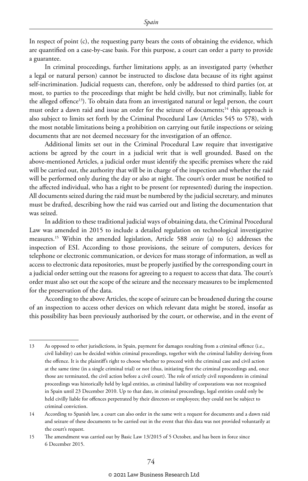In respect of point (c), the requesting party bears the costs of obtaining the evidence, which are quantified on a case-by-case basis. For this purpose, a court can order a party to provide a guarantee.

In criminal proceedings, further limitations apply, as an investigated party (whether a legal or natural person) cannot be instructed to disclose data because of its right against self-incrimination. Judicial requests can, therefore, only be addressed to third parties (or, at most, to parties to the proceedings that might be held civilly, but not criminally, liable for the alleged offence<sup>13</sup>). To obtain data from an investigated natural or legal person, the court must order a dawn raid and issue an order for the seizure of documents;<sup>14</sup> this approach is also subject to limits set forth by the Criminal Procedural Law (Articles 545 to 578), with the most notable limitations being a prohibition on carrying out futile inspections or seizing documents that are not deemed necessary for the investigation of an offence.

Additional limits set out in the Criminal Procedural Law require that investigative actions be agreed by the court in a judicial writ that is well grounded. Based on the above-mentioned Articles, a judicial order must identify the specific premises where the raid will be carried out, the authority that will be in charge of the inspection and whether the raid will be performed only during the day or also at night. The court's order must be notified to the affected individual, who has a right to be present (or represented) during the inspection. All documents seized during the raid must be numbered by the judicial secretary, and minutes must be drafted, describing how the raid was carried out and listing the documentation that was seized.

In addition to these traditional judicial ways of obtaining data, the Criminal Procedural Law was amended in 2015 to include a detailed regulation on technological investigative measures.15 Within the amended legislation, Article 588 *sexies* (a) to (c) addresses the inspection of ESI. According to those provisions, the seizure of computers, devices for telephone or electronic communication, or devices for mass storage of information, as well as access to electronic data repositories, must be properly justified by the corresponding court in a judicial order setting out the reasons for agreeing to a request to access that data. The court's order must also set out the scope of the seizure and the necessary measures to be implemented for the preservation of the data.

According to the above Articles, the scope of seizure can be broadened during the course of an inspection to access other devices on which relevant data might be stored, insofar as this possibility has been previously authorised by the court, or otherwise, and in the event of

<sup>13</sup> As opposed to other jurisdictions, in Spain, payment for damages resulting from a criminal offence (i.e., civil liability) can be decided within criminal proceedings, together with the criminal liability deriving from the offence. It is the plaintiff's right to choose whether to proceed with the criminal case and civil action at the same time (in a single criminal trial) or not (thus, initiating first the criminal proceedings and, once those are terminated, the civil action before a civil court). The role of strictly civil respondents in criminal proceedings was historically held by legal entities, as criminal liability of corporations was not recognised in Spain until 23 December 2010. Up to that date, in criminal proceedings, legal entities could only be held civilly liable for offences perpetrated by their directors or employees; they could not be subject to criminal conviction.

<sup>14</sup> According to Spanish law, a court can also order in the same writ a request for documents and a dawn raid and seizure of these documents to be carried out in the event that this data was not provided voluntarily at the court's request.

<sup>15</sup> The amendment was carried out by Basic Law 13/2015 of 5 October, and has been in force since 6 December 2015.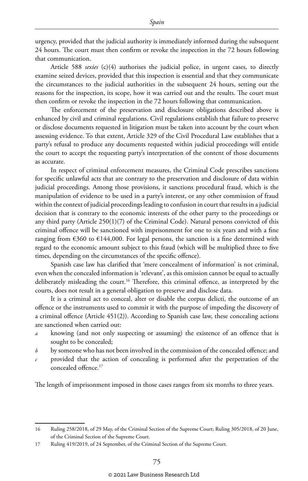urgency, provided that the judicial authority is immediately informed during the subsequent 24 hours. The court must then confirm or revoke the inspection in the 72 hours following that communication.

Article 588 *sexies* (c)(4) authorises the judicial police, in urgent cases, to directly examine seized devices, provided that this inspection is essential and that they communicate the circumstances to the judicial authorities in the subsequent 24 hours, setting out the reasons for the inspection, its scope, how it was carried out and the results. The court must then confirm or revoke the inspection in the 72 hours following that communication.

The enforcement of the preservation and disclosure obligations described above is enhanced by civil and criminal regulations. Civil regulations establish that failure to preserve or disclose documents requested in litigation must be taken into account by the court when assessing evidence. To that extent, Article 329 of the Civil Procedural Law establishes that a party's refusal to produce any documents requested within judicial proceedings will entitle the court to accept the requesting party's interpretation of the content of those documents as accurate.

In respect of criminal enforcement measures, the Criminal Code prescribes sanctions for specific unlawful acts that are contrary to the preservation and disclosure of data within judicial proceedings. Among those provisions, it sanctions procedural fraud, which is the manipulation of evidence to be used in a party's interest, or any other commission of fraud within the context of judicial proceedings leading to confusion in court that results in a judicial decision that is contrary to the economic interests of the other party to the proceedings or any third party (Article 250(1)(7) of the Criminal Code). Natural persons convicted of this criminal offence will be sanctioned with imprisonment for one to six years and with a fine ranging from  $\epsilon$ 360 to  $\epsilon$ 144,000. For legal persons, the sanction is a fine determined with regard to the economic amount subject to this fraud (which will be multiplied three to five times, depending on the circumstances of the specific offence).

Spanish case law has clarified that 'mere concealment of information' is not criminal, even when the concealed information is 'relevant', as this omission cannot be equal to actually deliberately misleading the court.<sup>16</sup> Therefore, this criminal offence, as interpreted by the courts, does not result in a general obligation to preserve and disclose data.

It is a criminal act to conceal, alter or disable the corpus delicti, the outcome of an offence or the instruments used to commit it with the purpose of impeding the discovery of a criminal offence (Article 451(2)). According to Spanish case law, these concealing actions are sanctioned when carried out:

- *a* knowing (and not only suspecting or assuming) the existence of an offence that is sought to be concealed;
- *b* by someone who has not been involved in the commission of the concealed offence; and
- *c* provided that the action of concealing is performed after the perpetration of the concealed offence.17

The length of imprisonment imposed in those cases ranges from six months to three years.

<sup>16</sup> Ruling 258/2018, of 29 May, of the Criminal Section of the Supreme Court; Ruling 305/2018, of 20 June, of the Criminal Section of the Supreme Court.

<sup>17</sup> Ruling 419/2019, of 24 September, of the Criminal Section of the Supreme Court.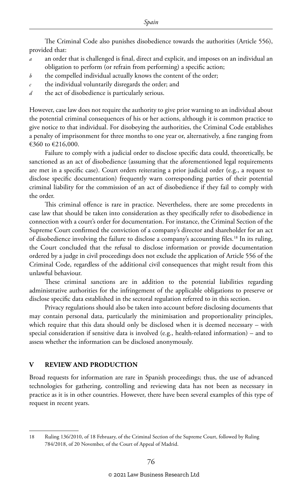The Criminal Code also punishes disobedience towards the authorities (Article 556), provided that:

- *a* an order that is challenged is final, direct and explicit, and imposes on an individual an obligation to perform (or refrain from performing) a specific action;
- *b* the compelled individual actually knows the content of the order;
- *c* the individual voluntarily disregards the order; and
- *d* the act of disobedience is particularly serious.

However, case law does not require the authority to give prior warning to an individual about the potential criminal consequences of his or her actions, although it is common practice to give notice to that individual. For disobeying the authorities, the Criminal Code establishes a penalty of imprisonment for three months to one year or, alternatively, a fine ranging from €360 to €216,000.

Failure to comply with a judicial order to disclose specific data could, theoretically, be sanctioned as an act of disobedience (assuming that the aforementioned legal requirements are met in a specific case). Court orders reiterating a prior judicial order (e.g., a request to disclose specific documentation) frequently warn corresponding parties of their potential criminal liability for the commission of an act of disobedience if they fail to comply with the order.

This criminal offence is rare in practice. Nevertheless, there are some precedents in case law that should be taken into consideration as they specifically refer to disobedience in connection with a court's order for documentation. For instance, the Criminal Section of the Supreme Court confirmed the conviction of a company's director and shareholder for an act of disobedience involving the failure to disclose a company's accounting files.18 In its ruling, the Court concluded that the refusal to disclose information or provide documentation ordered by a judge in civil proceedings does not exclude the application of Article 556 of the Criminal Code, regardless of the additional civil consequences that might result from this unlawful behaviour.

These criminal sanctions are in addition to the potential liabilities regarding administrative authorities for the infringement of the applicable obligations to preserve or disclose specific data established in the sectoral regulation referred to in this section.

Privacy regulations should also be taken into account before disclosing documents that may contain personal data, particularly the minimisation and proportionality principles, which require that this data should only be disclosed when it is deemed necessary – with special consideration if sensitive data is involved (e.g., health-related information) – and to assess whether the information can be disclosed anonymously.

#### **V REVIEW AND PRODUCTION**

Broad requests for information are rare in Spanish proceedings; thus, the use of advanced technologies for gathering, controlling and reviewing data has not been as necessary in practice as it is in other countries. However, there have been several examples of this type of request in recent years.

<sup>18</sup> Ruling 136/2010, of 18 February, of the Criminal Section of the Supreme Court, followed by Ruling 784/2018, of 20 November, of the Court of Appeal of Madrid.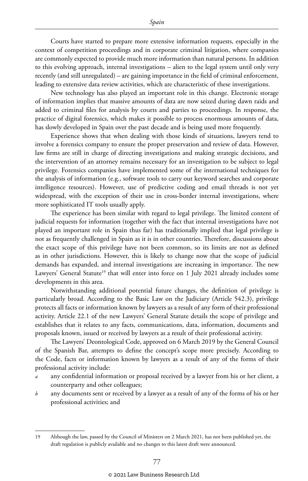Courts have started to prepare more extensive information requests, especially in the context of competition proceedings and in corporate criminal litigation, where companies are commonly expected to provide much more information than natural persons. In addition to this evolving approach, internal investigations – alien to the legal system until only very recently (and still unregulated) – are gaining importance in the field of criminal enforcement, leading to extensive data review activities, which are characteristic of these investigations.

New technology has also played an important role in this change. Electronic storage of information implies that massive amounts of data are now seized during dawn raids and added to criminal files for analysis by courts and parties to proceedings. In response, the practice of digital forensics, which makes it possible to process enormous amounts of data, has slowly developed in Spain over the past decade and is being used more frequently.

Experience shows that when dealing with those kinds of situations, lawyers tend to involve a forensics company to ensure the proper preservation and review of data. However, law firms are still in charge of directing investigations and making strategic decisions, and the intervention of an attorney remains necessary for an investigation to be subject to legal privilege. Forensics companies have implemented some of the international techniques for the analysis of information (e.g., software tools to carry out keyword searches and corporate intelligence resources). However, use of predictive coding and email threads is not yet widespread, with the exception of their use in cross-border internal investigations, where more sophisticated IT tools usually apply.

The experience has been similar with regard to legal privilege. The limited content of judicial requests for information (together with the fact that internal investigations have not played an important role in Spain thus far) has traditionally implied that legal privilege is not as frequently challenged in Spain as it is in other countries. Therefore, discussions about the exact scope of this privilege have not been common, so its limits are not as defined as in other jurisdictions. However, this is likely to change now that the scope of judicial demands has expanded, and internal investigations are increasing in importance. The new Lawyers' General Statute<sup>19</sup> that will enter into force on 1 July 2021 already includes some developments in this area.

Notwithstanding additional potential future changes, the definition of privilege is particularly broad. According to the Basic Law on the Judiciary (Article 542.3), privilege protects all facts or information known by lawyers as a result of any form of their professional activity. Article 22.1 of the new Lawyers' General Statute details the scope of privilege and establishes that it relates to any facts, communications, data, information, documents and proposals known, issued or received by lawyers as a result of their professional activity.

The Lawyers' Deontological Code, approved on 6 March 2019 by the General Council of the Spanish Bar, attempts to define the concept's scope more precisely. According to the Code, facts or information known by lawyers as a result of any of the forms of their professional activity include:

- *a* any confidential information or proposal received by a lawyer from his or her client, a counterparty and other colleagues;
- *b* any documents sent or received by a lawyer as a result of any of the forms of his or her professional activities; and

<sup>19</sup> Although the law, passed by the Council of Ministers on 2 March 2021, has not been published yet, the draft regulation is publicly available and no changes to this latest draft were announced.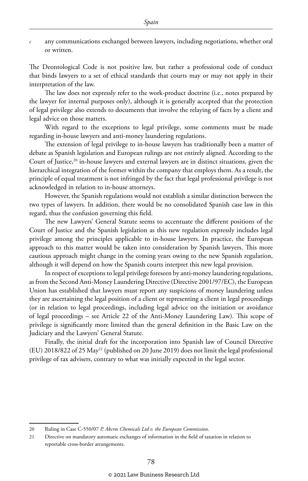*c* any communications exchanged between lawyers, including negotiations, whether oral or written.

The Deontological Code is not positive law, but rather a professional code of conduct that binds lawyers to a set of ethical standards that courts may or may not apply in their interpretation of the law.

The law does not expressly refer to the work-product doctrine (i.e., notes prepared by the lawyer for internal purposes only), although it is generally accepted that the protection of legal privilege also extends to documents that involve the relaying of facts by a client and legal advice on those matters.

With regard to the exceptions to legal privilege, some comments must be made regarding in-house lawyers and anti-money laundering regulations.

The extension of legal privilege to in-house lawyers has traditionally been a matter of debate as Spanish legislation and European rulings are not entirely aligned. According to the Court of Justice,<sup>20</sup> in-house lawyers and external lawyers are in distinct situations, given the hierarchical integration of the former within the company that employs them. As a result, the principle of equal treatment is not infringed by the fact that legal professional privilege is not acknowledged in relation to in-house attorneys.

However, the Spanish regulations would not establish a similar distinction between the two types of lawyers. In addition, there would be no consolidated Spanish case law in this regard, thus the confusion governing this field.

The new Lawyers' General Statute seems to accentuate the different positions of the Court of Justice and the Spanish legislation as this new regulation expressly includes legal privilege among the principles applicable to in-house lawyers. In practice, the European approach to this matter would be taken into consideration by Spanish lawyers. This more cautious approach might change in the coming years owing to the new Spanish regulation, although it will depend on how the Spanish courts interpret this new legal provision.

In respect of exceptions to legal privilege foreseen by anti-money laundering regulations, as from the Second Anti-Money Laundering Directive (Directive 2001/97/EC), the European Union has established that lawyers must report any suspicions of money laundering unless they are ascertaining the legal position of a client or representing a client in legal proceedings (or in relation to legal proceedings, including legal advice on the initiation or avoidance of legal proceedings – see Article 22 of the Anti-Money Laundering Law). This scope of privilege is significantly more limited than the general definition in the Basic Law on the Judiciary and the Lawyers' General Statute.

Finally, the initial draft for the incorporation into Spanish law of Council Directive (EU) 2018/822 of 25 May21 (published on 20 June 2019) does not limit the legal professional privilege of tax advisers, contrary to what was initially expected in the legal sector.

<sup>20</sup> Ruling in Case C-550/07 *P, Akcros Chemicals Ltd v. the European Commission*.

<sup>21</sup> Directive on mandatory automatic exchanges of information in the field of taxation in relation to reportable cross-border arrangements.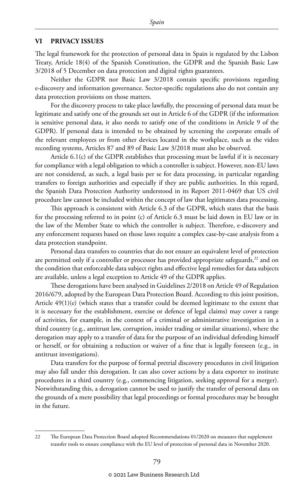#### **VI PRIVACY ISSUES**

The legal framework for the protection of personal data in Spain is regulated by the Lisbon Treaty, Article 18(4) of the Spanish Constitution, the GDPR and the Spanish Basic Law 3/2018 of 5 December on data protection and digital rights guarantees.

Neither the GDPR nor Basic Law 3/2018 contain specific provisions regarding e-discovery and information governance. Sector-specific regulations also do not contain any data protection provisions on those matters.

For the discovery process to take place lawfully, the processing of personal data must be legitimate and satisfy one of the grounds set out in Article 6 of the GDPR (if the information is sensitive personal data, it also needs to satisfy one of the conditions in Article 9 of the GDPR). If personal data is intended to be obtained by screening the corporate emails of the relevant employees or from other devices located in the workplace, such as the video recording systems, Articles 87 and 89 of Basic Law 3/2018 must also be observed.

Article 6.1(c) of the GDPR establishes that processing must be lawful if it is necessary for compliance with a legal obligation to which a controller is subject. However, non-EU laws are not considered, as such, a legal basis per se for data processing, in particular regarding transfers to foreign authorities and especially if they are public authorities. In this regard, the Spanish Data Protection Authority understood in its Report 2011-0469 that US civil procedure law cannot be included within the concept of law that legitimates data processing.

This approach is consistent with Article 6.3 of the GDPR, which states that the basis for the processing referred to in point (c) of Article 6.3 must be laid down in EU law or in the law of the Member State to which the controller is subject. Therefore, e-discovery and any enforcement requests based on those laws require a complex case-by-case analysis from a data protection standpoint.

Personal data transfers to countries that do not ensure an equivalent level of protection are permitted only if a controller or processor has provided appropriate safeguards, $2<sup>22</sup>$  and on the condition that enforceable data subject rights and effective legal remedies for data subjects are available, unless a legal exception to Article 49 of the GDPR applies.

These derogations have been analysed in Guidelines 2/2018 on Article 49 of Regulation 2016/679, adopted by the European Data Protection Board. According to this joint position, Article  $49(1)(e)$  (which states that a transfer could be deemed legitimate to the extent that it is necessary for the establishment, exercise or defence of legal claims) may cover a range of activities, for example, in the context of a criminal or administrative investigation in a third country (e.g., antitrust law, corruption, insider trading or similar situations), where the derogation may apply to a transfer of data for the purpose of an individual defending himself or herself, or for obtaining a reduction or waiver of a fine that is legally foreseen (e.g., in antitrust investigations).

Data transfers for the purpose of formal pretrial discovery procedures in civil litigation may also fall under this derogation. It can also cover actions by a data exporter to institute procedures in a third country (e.g., commencing litigation, seeking approval for a merger). Notwithstanding this, a derogation cannot be used to justify the transfer of personal data on the grounds of a mere possibility that legal proceedings or formal procedures may be brought in the future.

<sup>22</sup> The European Data Protection Board adopted Recommendations 01/2020 on measures that supplement transfer tools to ensure compliance with the EU level of protection of personal data in November 2020.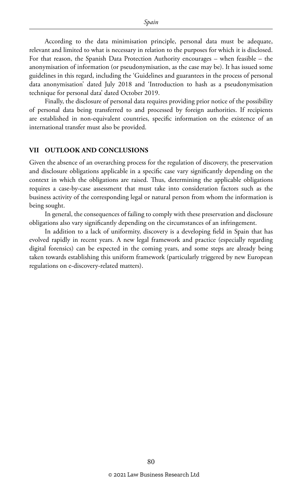According to the data minimisation principle, personal data must be adequate, relevant and limited to what is necessary in relation to the purposes for which it is disclosed. For that reason, the Spanish Data Protection Authority encourages – when feasible – the anonymisation of information (or pseudonymisation, as the case may be). It has issued some guidelines in this regard, including the 'Guidelines and guarantees in the process of personal data anonymisation' dated July 2018 and 'Introduction to hash as a pseudonymisation technique for personal data' dated October 2019.

Finally, the disclosure of personal data requires providing prior notice of the possibility of personal data being transferred to and processed by foreign authorities. If recipients are established in non-equivalent countries, specific information on the existence of an international transfer must also be provided.

#### **VII OUTLOOK AND CONCLUSIONS**

Given the absence of an overarching process for the regulation of discovery, the preservation and disclosure obligations applicable in a specific case vary significantly depending on the context in which the obligations are raised. Thus, determining the applicable obligations requires a case-by-case assessment that must take into consideration factors such as the business activity of the corresponding legal or natural person from whom the information is being sought.

In general, the consequences of failing to comply with these preservation and disclosure obligations also vary significantly depending on the circumstances of an infringement.

In addition to a lack of uniformity, discovery is a developing field in Spain that has evolved rapidly in recent years. A new legal framework and practice (especially regarding digital forensics) can be expected in the coming years, and some steps are already being taken towards establishing this uniform framework (particularly triggered by new European regulations on e-discovery-related matters).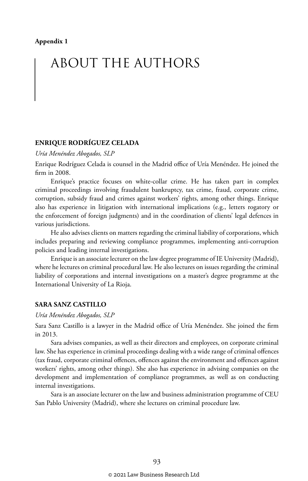# ABOUT THE AUTHORS

#### **ENRIQUE RODRÍGUEZ CELADA**

*Uría Menéndez Abogados, SLP*

Enrique Rodríguez Celada is counsel in the Madrid office of Uría Menéndez. He joined the firm in 2008.

Enrique's practice focuses on white-collar crime. He has taken part in complex criminal proceedings involving fraudulent bankruptcy, tax crime, fraud, corporate crime, corruption, subsidy fraud and crimes against workers' rights, among other things. Enrique also has experience in litigation with international implications (e.g., letters rogatory or the enforcement of foreign judgments) and in the coordination of clients' legal defences in various jurisdictions.

He also advises clients on matters regarding the criminal liability of corporations, which includes preparing and reviewing compliance programmes, implementing anti-corruption policies and leading internal investigations.

Enrique is an associate lecturer on the law degree programme of IE University (Madrid), where he lectures on criminal procedural law. He also lectures on issues regarding the criminal liability of corporations and internal investigations on a master's degree programme at the International University of La Rioja.

#### **SARA SANZ CASTILLO**

#### *Uría Menéndez Abogados, SLP*

Sara Sanz Castillo is a lawyer in the Madrid office of Uría Menéndez. She joined the firm in 2013.

Sara advises companies, as well as their directors and employees, on corporate criminal law. She has experience in criminal proceedings dealing with a wide range of criminal offences (tax fraud, corporate criminal offences, offences against the environment and offences against workers' rights, among other things). She also has experience in advising companies on the development and implementation of compliance programmes, as well as on conducting internal investigations.

Sara is an associate lecturer on the law and business administration programme of CEU San Pablo University (Madrid), where she lectures on criminal procedure law.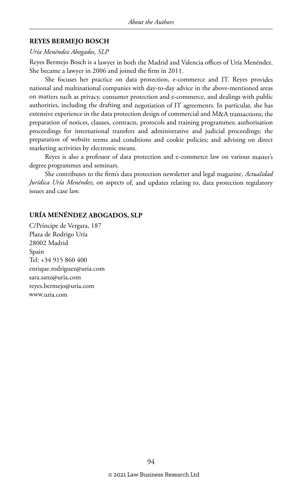#### **REYES BERMEJO BOSCH**

#### *Uría Menéndez Abogados, SLP*

Reyes Bermejo Bosch is a lawyer in both the Madrid and Valencia offices of Uría Menéndez. She became a lawyer in 2006 and joined the firm in 2011.

She focuses her practice on data protection, e-commerce and IT. Reyes provides national and multinational companies with day-to-day advice in the above-mentioned areas on matters such as privacy, consumer protection and e-commerce, and dealings with public authorities, including the drafting and negotiation of IT agreements. In particular, she has extensive experience in the data protection design of commercial and M&A transactions; the preparation of notices, clauses, contracts, protocols and training programmes; authorisation proceedings for international transfers and administrative and judicial proceedings; the preparation of website terms and conditions and cookie policies; and advising on direct marketing activities by electronic means.

Reyes is also a professor of data protection and e-commerce law on various master's degree programmes and seminars.

She contributes to the firm's data protection newsletter and legal magazine, *Actualidad Jurídica Uría Menéndez*, on aspects of, and updates relating to, data protection regulatory issues and case law.

#### **URÍA MENÉNDEZ ABOGADOS, SLP**

C/Príncipe de Vergara, 187 Plaza de Rodrigo Uría 28002 Madrid Spain Tel: +34 915 860 400 enrique.rodriguez@uria.com sara.sanz@uria.com reyes.bermejo@uria.com www.uria.com